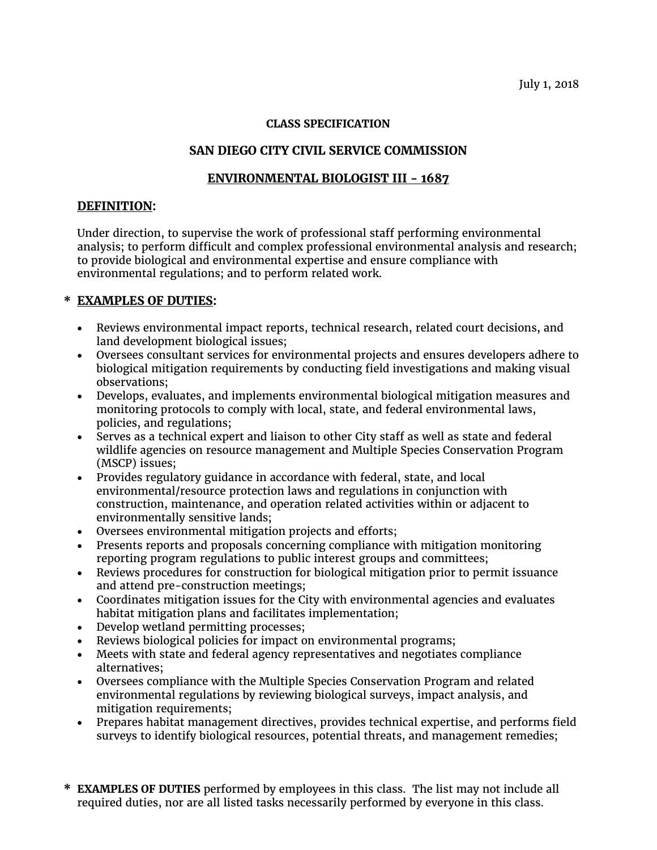#### **CLASS SPECIFICATION**

# **SAN DIEGO CITY CIVIL SERVICE COMMISSION**

## **ENVIRONMENTAL BIOLOGIST III - 1687**

### **DEFINITION:**

Under direction, to supervise the work of professional staff performing environmental analysis; to perform difficult and complex professional environmental analysis and research; to provide biological and environmental expertise and ensure compliance with environmental regulations; and to perform related work.

## **\* EXAMPLES OF DUTIES:**

- Reviews environmental impact reports, technical research, related court decisions, and land development biological issues;
- Oversees consultant services for environmental projects and ensures developers adhere to biological mitigation requirements by conducting field investigations and making visual observations;
- Develops, evaluates, and implements environmental biological mitigation measures and monitoring protocols to comply with local, state, and federal environmental laws, policies, and regulations;
- Serves as a technical expert and liaison to other City staff as well as state and federal wildlife agencies on resource management and Multiple Species Conservation Program (MSCP) issues;
- Provides regulatory guidance in accordance with federal, state, and local environmental/resource protection laws and regulations in conjunction with construction, maintenance, and operation related activities within or adjacent to environmentally sensitive lands;
- Oversees environmental mitigation projects and efforts;
- Presents reports and proposals concerning compliance with mitigation monitoring reporting program regulations to public interest groups and committees;
- Reviews procedures for construction for biological mitigation prior to permit issuance and attend pre-construction meetings;
- Coordinates mitigation issues for the City with environmental agencies and evaluates habitat mitigation plans and facilitates implementation;
- Develop wetland permitting processes;
- Reviews biological policies for impact on environmental programs;
- Meets with state and federal agency representatives and negotiates compliance alternatives;
- Oversees compliance with the Multiple Species Conservation Program and related environmental regulations by reviewing biological surveys, impact analysis, and mitigation requirements;
- Prepares habitat management directives, provides technical expertise, and performs field surveys to identify biological resources, potential threats, and management remedies;
- **\* EXAMPLES OF DUTIES** performed by employees in this class. The list may not include all required duties, nor are all listed tasks necessarily performed by everyone in this class.